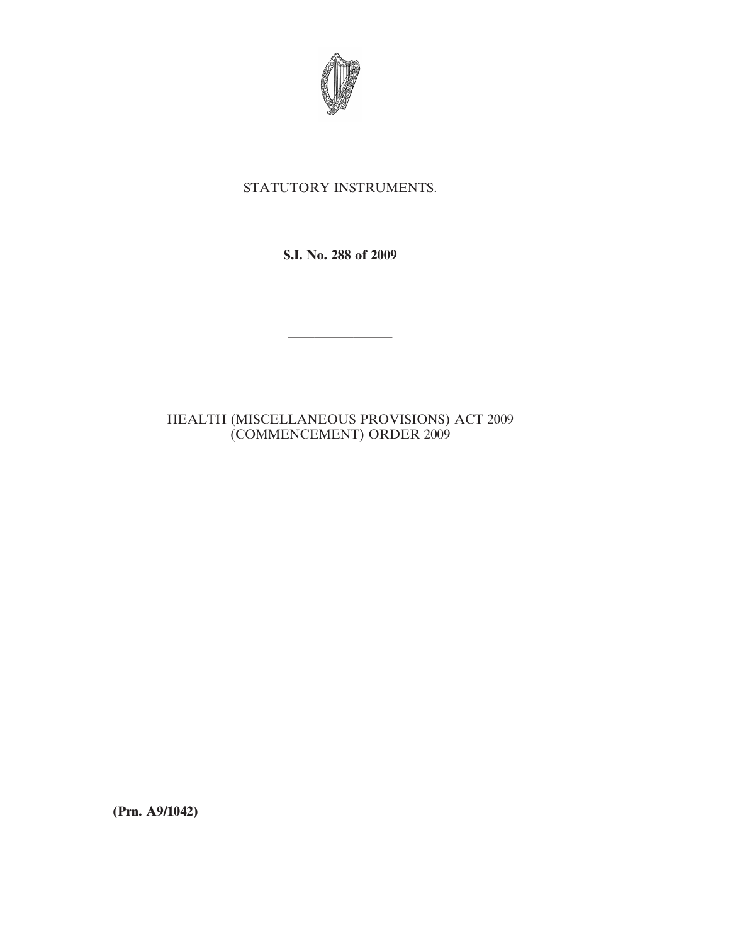

## STATUTORY INSTRUMENTS.

**S.I. No. 288 of 2009**

————————

## HEALTH (MISCELLANEOUS PROVISIONS) ACT 2009 (COMMENCEMENT) ORDER 2009

**(Prn. A9/1042)**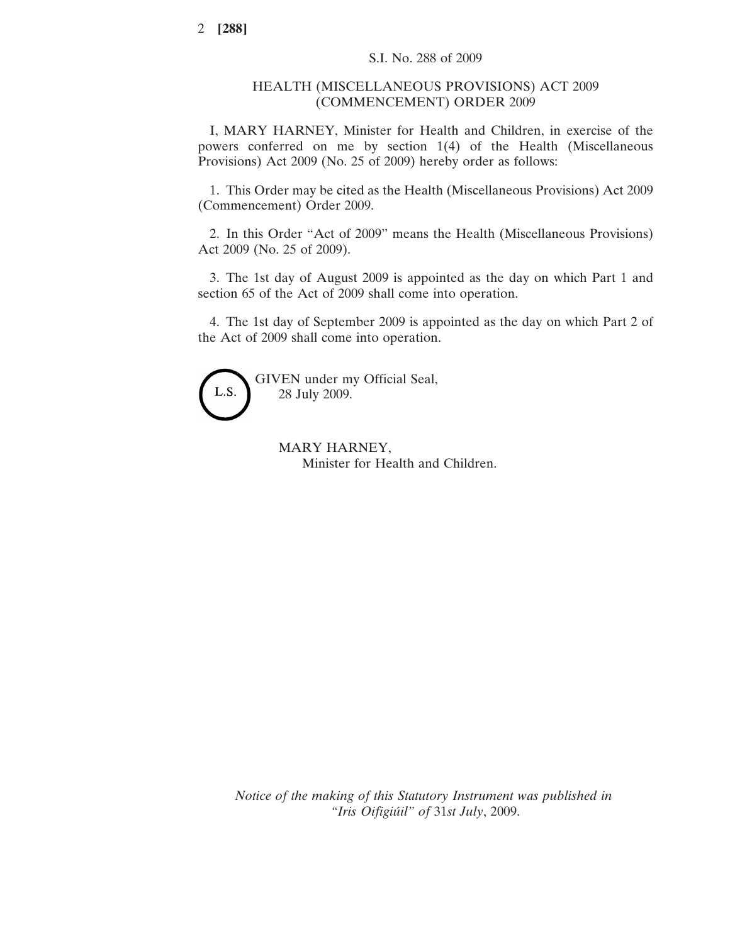## HEALTH (MISCELLANEOUS PROVISIONS) ACT 2009 (COMMENCEMENT) ORDER 2009

I, MARY HARNEY, Minister for Health and Children, in exercise of the powers conferred on me by section 1(4) of the Health (Miscellaneous Provisions) Act 2009 (No. 25 of 2009) hereby order as follows:

1. This Order may be cited as the Health (Miscellaneous Provisions) Act 2009 (Commencement) Order 2009.

2. In this Order "Act of 2009" means the Health (Miscellaneous Provisions) Act 2009 (No. 25 of 2009).

3. The 1st day of August 2009 is appointed as the day on which Part 1 and section 65 of the Act of 2009 shall come into operation.

4. The 1st day of September 2009 is appointed as the day on which Part 2 of the Act of 2009 shall come into operation.



GIVEN under my Official Seal, 28 July 2009.

> MARY HARNEY, Minister for Health and Children.

*Notice of the making of this Statutory Instrument was published in "Iris Oifigiu´il" of* 31*st July*, 2009.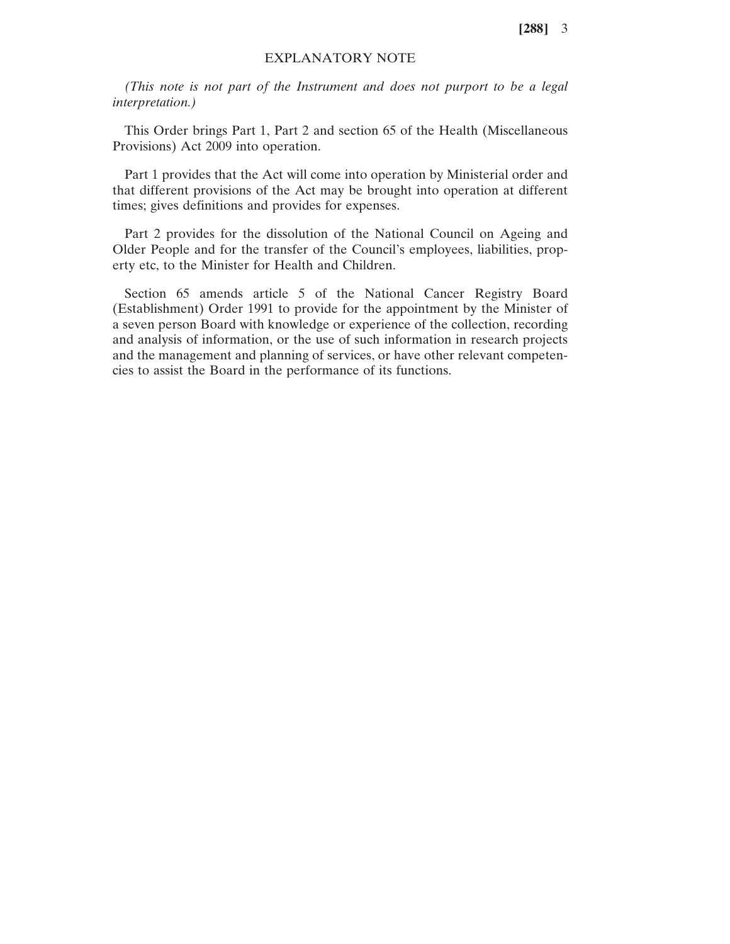**[288]** 3

## EXPLANATORY NOTE

*(This note is not part of the Instrument and does not purport to be a legal interpretation.)*

This Order brings Part 1, Part 2 and section 65 of the Health (Miscellaneous Provisions) Act 2009 into operation.

Part 1 provides that the Act will come into operation by Ministerial order and that different provisions of the Act may be brought into operation at different times; gives definitions and provides for expenses.

Part 2 provides for the dissolution of the National Council on Ageing and Older People and for the transfer of the Council's employees, liabilities, property etc, to the Minister for Health and Children.

Section 65 amends article 5 of the National Cancer Registry Board (Establishment) Order 1991 to provide for the appointment by the Minister of a seven person Board with knowledge or experience of the collection, recording and analysis of information, or the use of such information in research projects and the management and planning of services, or have other relevant competencies to assist the Board in the performance of its functions.